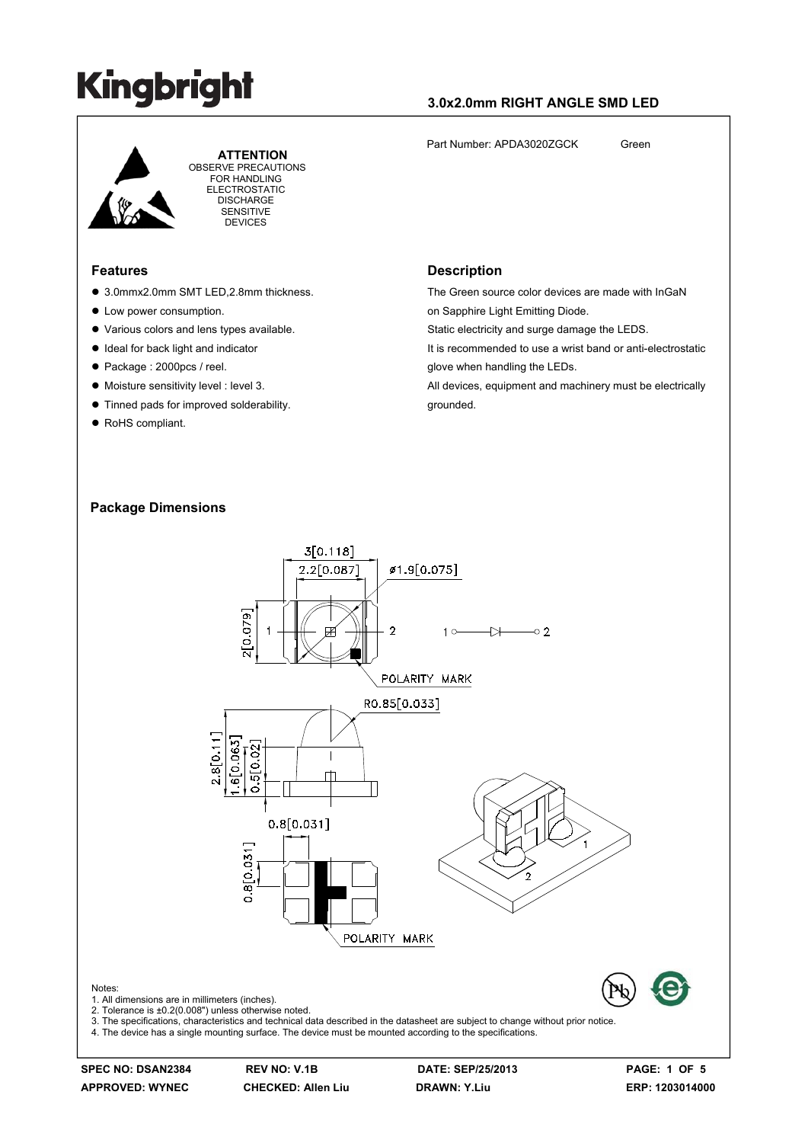### **3.0x2.0mm RIGHT ANGLE SMD LED**

Part Number: APDA3020ZGCK Green



 **ATTENTION** OBSERVE PRECAUTIONS FOR HANDLING ELECTROSTATIC **DISCHARGE** SENSITIVE **DEVICES** 

#### **Features**

- 3.0mmx2.0mm SMT LED, 2.8mm thickness.
- Low power consumption.
- Various colors and lens types available.
- $\bullet$  Ideal for back light and indicator
- Package : 2000pcs / reel.
- $\bullet$  Moisture sensitivity level : level 3.
- $\bullet$  Tinned pads for improved solderability.
- RoHS compliant.

#### on Sapphire Light Emitting Diode.

**Description**

Static electricity and surge damage the LEDS.

It is recommended to use a wrist band or anti-electrostatic glove when handling the LEDs.

The Green source color devices are made with InGaN

All devices, equipment and machinery must be electrically grounded.

#### **Package Dimensions**



4. The device has a single mounting surface. The device must be mounted according to the specifications.

Notes:

**SPEC NO: DSAN2384 REV NO: V.1B DATE: SEP/25/2013 PAGE: 1 OF 5**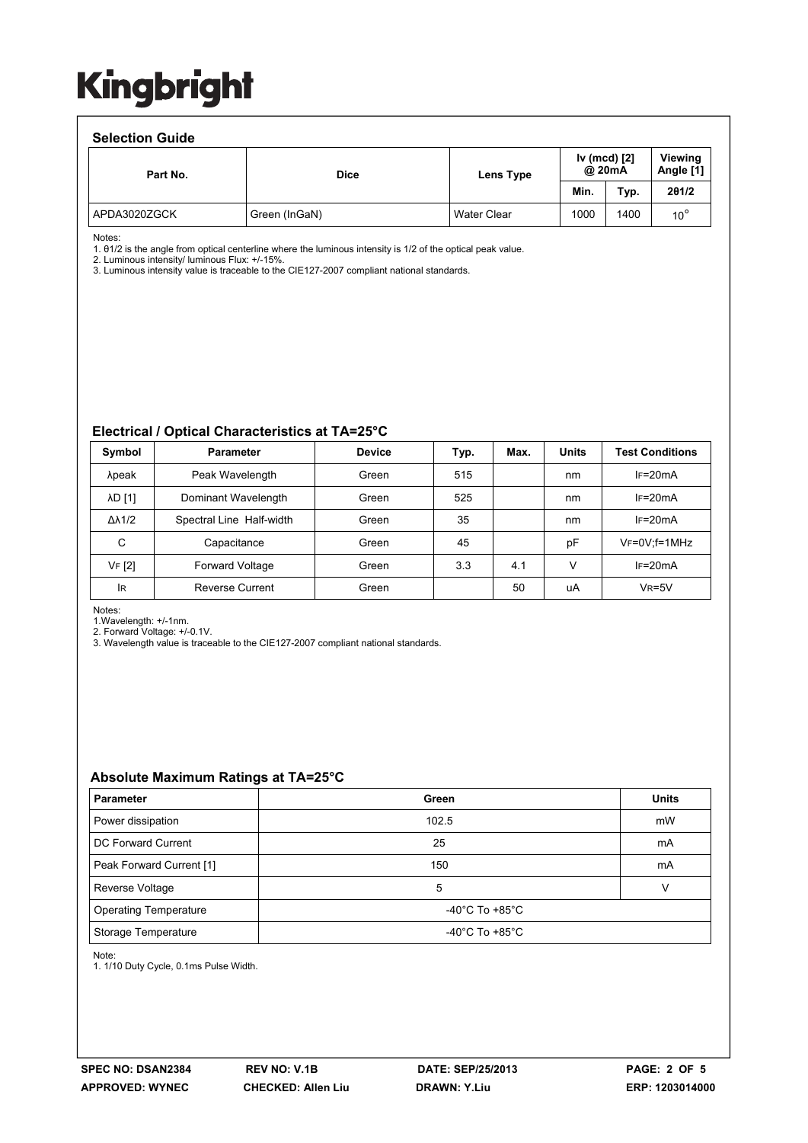#### **Selection Guide**

| Part No.     | <b>Dice</b>   | Lens Type          | Iv (mcd) [2]<br>@ 20mA |      | <b>Viewing</b><br>Angle [1] |  |  |  |  |
|--------------|---------------|--------------------|------------------------|------|-----------------------------|--|--|--|--|
|              |               |                    | Min.                   | Typ. | 201/2                       |  |  |  |  |
| APDA3020ZGCK | Green (InGaN) | <b>Water Clear</b> | 1000                   | 1400 | $10^{\circ}$                |  |  |  |  |

Notes:

1. θ1/2 is the angle from optical centerline where the luminous intensity is 1/2 of the optical peak value.

2. Luminous intensity/ luminous Flux: +/-15%.

3. Luminous intensity value is traceable to the CIE127-2007 compliant national standards.

#### **Electrical / Optical Characteristics at TA=25°C**

| Symbol              | <b>Parameter</b>         | <b>Device</b> | Typ. | Max. | <b>Units</b> | <b>Test Conditions</b> |
|---------------------|--------------------------|---------------|------|------|--------------|------------------------|
| λpeak               | Peak Wavelength          | Green         | 515  |      | nm           | $IF=20mA$              |
| λD [1]              | Dominant Wavelength      | Green         | 525  |      | nm           | $IF=20mA$              |
| $\Delta\lambda$ 1/2 | Spectral Line Half-width | Green         | 35   |      | nm           | $IF=20mA$              |
| C                   | Capacitance              | Green         | 45   |      | рF           | VF=0V;f=1MHz           |
| VF [2]              | Forward Voltage          | Green         | 3.3  | 4.1  | ν            | $IF=20mA$              |
| <b>IR</b>           | <b>Reverse Current</b>   | Green         |      | 50   | uA           | $V_R = 5V$             |

Notes:

1.Wavelength: +/-1nm.

2. Forward Voltage: +/-0.1V.

3. Wavelength value is traceable to the CIE127-2007 compliant national standards.

#### **Absolute Maximum Ratings at TA=25°C**

| <b>Parameter</b>             | Green                                | <b>Units</b> |  |
|------------------------------|--------------------------------------|--------------|--|
| Power dissipation            | 102.5                                | mW           |  |
| DC Forward Current           | 25                                   | mA           |  |
| Peak Forward Current [1]     | 150                                  | mA           |  |
| Reverse Voltage              | 5                                    |              |  |
| <b>Operating Temperature</b> | -40°C To +85°C                       |              |  |
| Storage Temperature          | -40 $^{\circ}$ C To +85 $^{\circ}$ C |              |  |

Note:

1. 1/10 Duty Cycle, 0.1ms Pulse Width.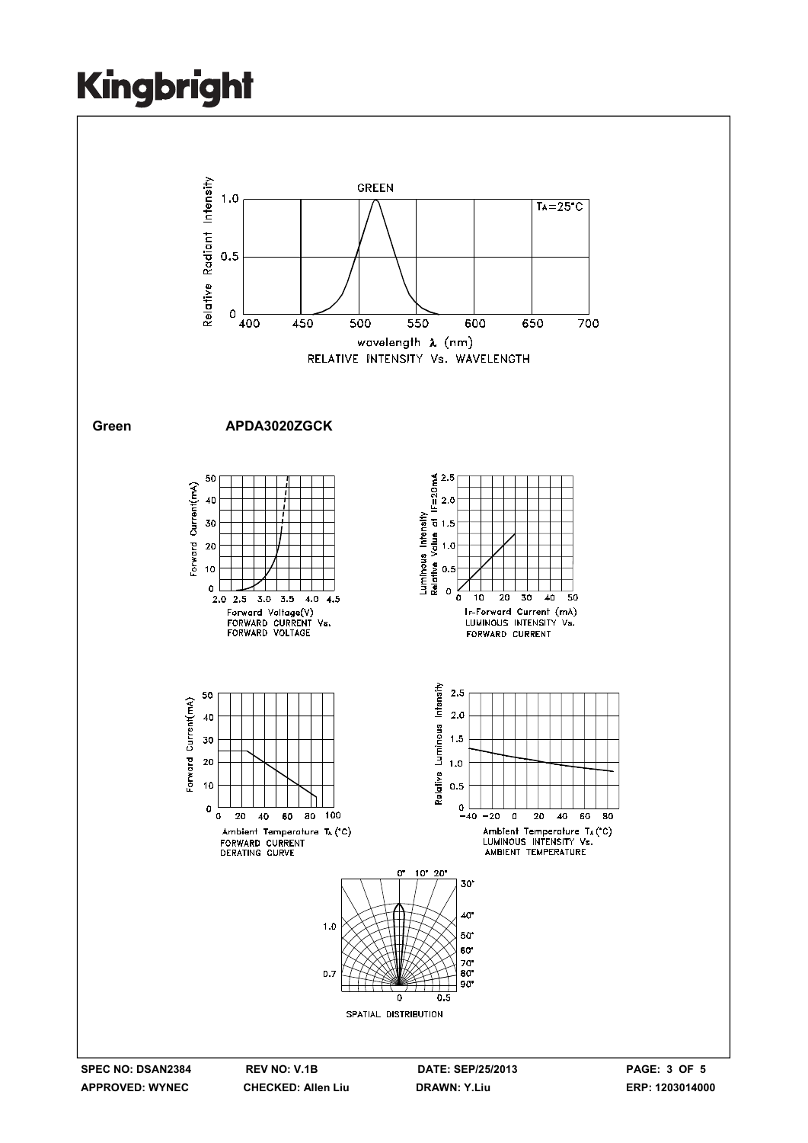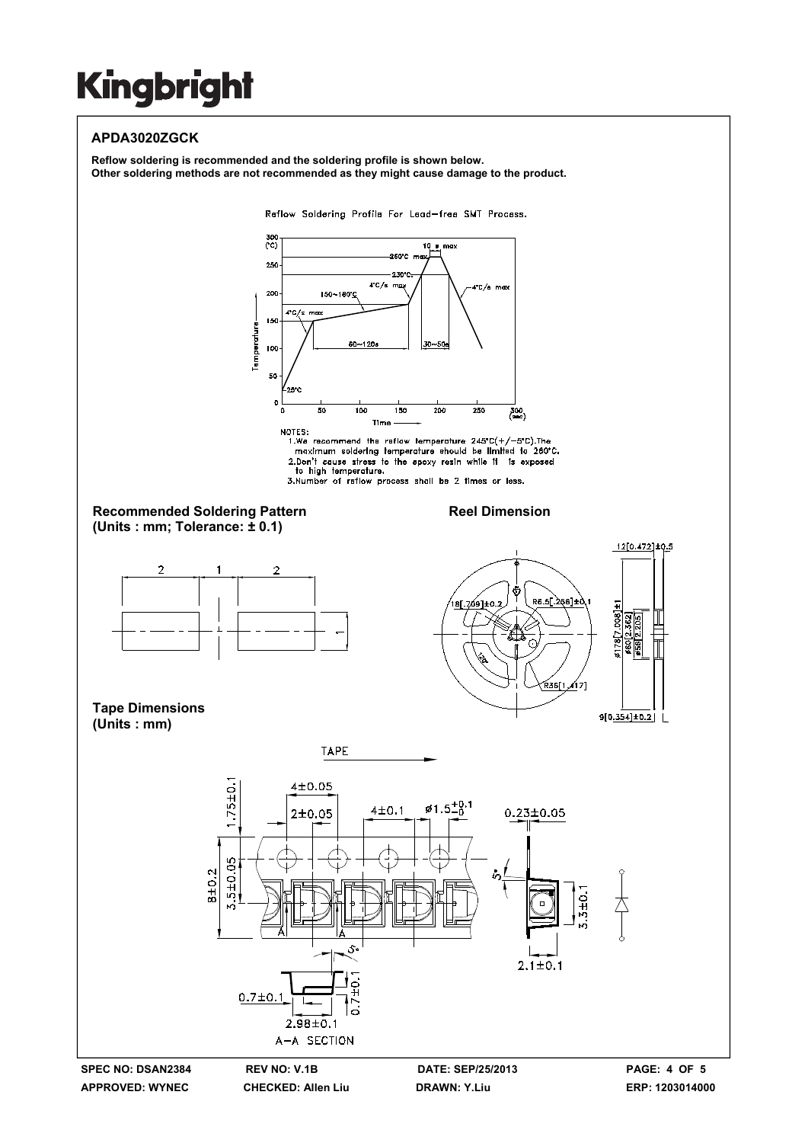### **APDA3020ZGCK**

**Reflow soldering is recommended and the soldering profile is shown below. Other soldering methods are not recommended as they might cause damage to the product.**